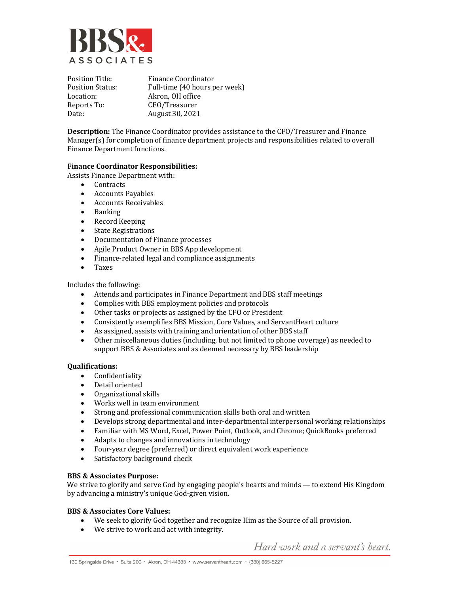

| Position Title:  | Finance Coordinator           |
|------------------|-------------------------------|
| Position Status: | Full-time (40 hours per week) |
| Location:        | Akron, OH office              |
| Reports To:      | CFO/Treasurer                 |
| Date:            | August 30, 2021               |

**Description:** The Finance Coordinator provides assistance to the CFO/Treasurer and Finance Manager(s) for completion of finance department projects and responsibilities related to overall Finance Department functions.

## **Finance Coordinator Responsibilities:**

Assists Finance Department with:

- Contracts
- Accounts Payables
- Accounts Receivables
- Banking
- Record Keeping
- State Registrations
- Documentation of Finance processes
- Agile Product Owner in BBS App development
- Finance-related legal and compliance assignments
- Taxes

Includes the following:

- Attends and participates in Finance Department and BBS staff meetings
- Complies with BBS employment policies and protocols
- Other tasks or projects as assigned by the CFO or President
- Consistently exemplifies BBS Mission, Core Values, and ServantHeart culture
- As assigned, assists with training and orientation of other BBS staff
- Other miscellaneous duties (including, but not limited to phone coverage) as needed to support BBS & Associates and as deemed necessary by BBS leadership

## **Qualifications:**

- Confidentiality
- Detail oriented
- Organizational skills
- Works well in team environment
- Strong and professional communication skills both oral and written
- Develops strong departmental and inter-departmental interpersonal working relationships
- Familiar with MS Word, Excel, Power Point, Outlook, and Chrome; QuickBooks preferred<br>• Adants to changes and innovations in technology
- 
- Adapts to changes and innovations in technology<br>• Four-vear degree (preferred) or direct equivalent • Four-year degree (preferred) or direct equivalent work experience
- Satisfactory background check

## **BBS & Associates Purpose:**

We strive to glorify and serve God by engaging people's hearts and minds — to extend His Kingdom by advancing a ministry's unique God-given vision.

## **BBS & Associates Core Values:**

- We seek to glorify God together and recognize Him as the Source of all provision.
- We strive to work and act with integrity.

Hard work and a servant's heart.